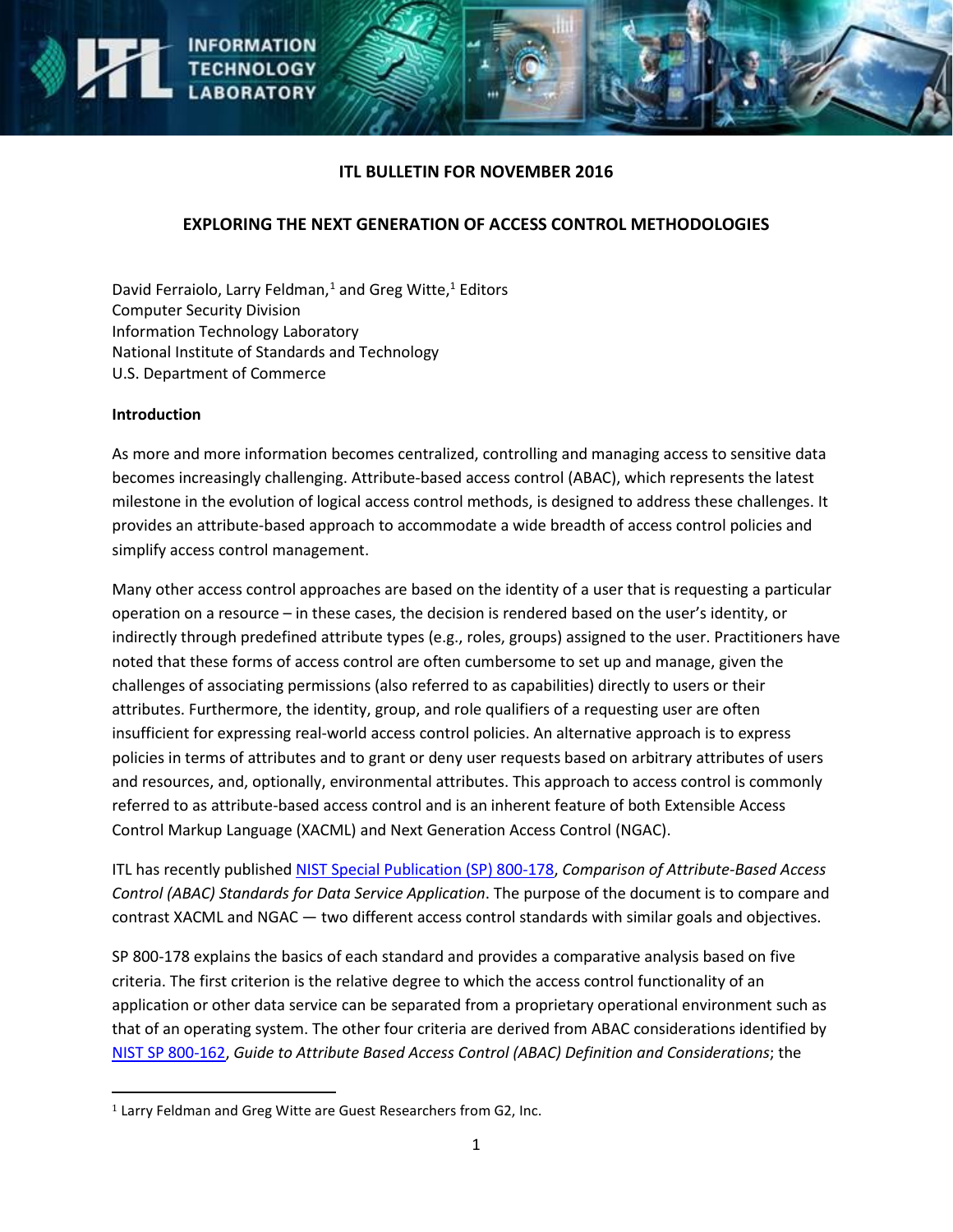# **ITL BULLETIN FOR NOVEMBER 2016**

## **EXPLORING THE NEXT GENERATION OF ACCESS CONTROL METHODOLOGIES**

David Ferraiolo, Larry Feldman,<sup>[1](#page-0-0)</sup> and Greg Witte,<sup>1</sup> Editors Computer Security Division Information Technology Laboratory National Institute of Standards and Technology U.S. Department of Commerce

TECHNOLOGY

#### **Introduction**

l

As more and more information becomes centralized, controlling and managing access to sensitive data becomes increasingly challenging. Attribute-based access control (ABAC), which represents the latest milestone in the evolution of logical access control methods, is designed to address these challenges. It provides an attribute-based approach to accommodate a wide breadth of access control policies and simplify access control management.

Many other access control approaches are based on the identity of a user that is requesting a particular operation on a resource – in these cases, the decision is rendered based on the user's identity, or indirectly through predefined attribute types (e.g., roles, groups) assigned to the user. Practitioners have noted that these forms of access control are often cumbersome to set up and manage, given the challenges of associating permissions (also referred to as capabilities) directly to users or their attributes. Furthermore, the identity, group, and role qualifiers of a requesting user are often insufficient for expressing real-world access control policies. An alternative approach is to express policies in terms of attributes and to grant or deny user requests based on arbitrary attributes of users and resources, and, optionally, environmental attributes. This approach to access control is commonly referred to as attribute-based access control and is an inherent feature of both Extensible Access Control Markup Language (XACML) and Next Generation Access Control (NGAC).

ITL has recently published [NIST Special Publication \(SP\) 800-178,](http://nvlpubs.nist.gov/nistpubs/SpecialPublications/NIST.SP.800-178.pdf) *Comparison of Attribute-Based Access Control (ABAC) Standards for Data Service Application*. The purpose of the document is to compare and contrast XACML and NGAC — two different access control standards with similar goals and objectives.

SP 800-178 explains the basics of each standard and provides a comparative analysis based on five criteria. The first criterion is the relative degree to which the access control functionality of an application or other data service can be separated from a proprietary operational environment such as that of an operating system. The other four criteria are derived from ABAC considerations identified by [NIST SP 800-162,](http://nvlpubs.nist.gov/nistpubs/SpecialPublications/NIST.SP.800-162.pdf) *Guide to Attribute Based Access Control (ABAC) Definition and Considerations*; the

<span id="page-0-0"></span><sup>1</sup> Larry Feldman and Greg Witte are Guest Researchers from G2, Inc.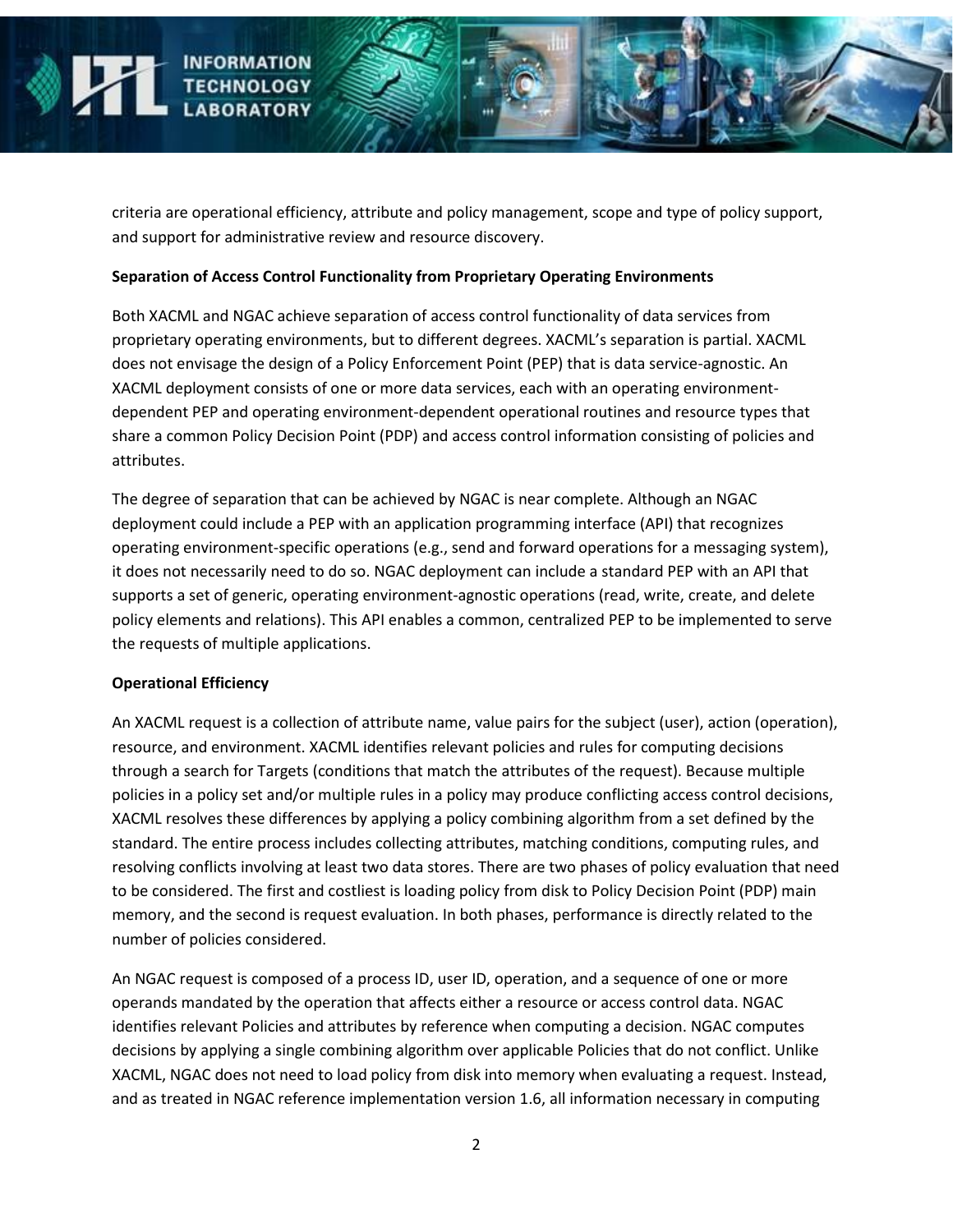

criteria are operational efficiency, attribute and policy management, scope and type of policy support, and support for administrative review and resource discovery.

### **Separation of Access Control Functionality from Proprietary Operating Environments**

Both XACML and NGAC achieve separation of access control functionality of data services from proprietary operating environments, but to different degrees. XACML's separation is partial. XACML does not envisage the design of a Policy Enforcement Point (PEP) that is data service-agnostic. An XACML deployment consists of one or more data services, each with an operating environmentdependent PEP and operating environment-dependent operational routines and resource types that share a common Policy Decision Point (PDP) and access control information consisting of policies and attributes.

The degree of separation that can be achieved by NGAC is near complete. Although an NGAC deployment could include a PEP with an application programming interface (API) that recognizes operating environment-specific operations (e.g., send and forward operations for a messaging system), it does not necessarily need to do so. NGAC deployment can include a standard PEP with an API that supports a set of generic, operating environment-agnostic operations (read, write, create, and delete policy elements and relations). This API enables a common, centralized PEP to be implemented to serve the requests of multiple applications.

### **Operational Efficiency**

An XACML request is a collection of attribute name, value pairs for the subject (user), action (operation), resource, and environment. XACML identifies relevant policies and rules for computing decisions through a search for Targets (conditions that match the attributes of the request). Because multiple policies in a policy set and/or multiple rules in a policy may produce conflicting access control decisions, XACML resolves these differences by applying a policy combining algorithm from a set defined by the standard. The entire process includes collecting attributes, matching conditions, computing rules, and resolving conflicts involving at least two data stores. There are two phases of policy evaluation that need to be considered. The first and costliest is loading policy from disk to Policy Decision Point (PDP) main memory, and the second is request evaluation. In both phases, performance is directly related to the number of policies considered.

An NGAC request is composed of a process ID, user ID, operation, and a sequence of one or more operands mandated by the operation that affects either a resource or access control data. NGAC identifies relevant Policies and attributes by reference when computing a decision. NGAC computes decisions by applying a single combining algorithm over applicable Policies that do not conflict. Unlike XACML, NGAC does not need to load policy from disk into memory when evaluating a request. Instead, and as treated in NGAC reference implementation version 1.6, all information necessary in computing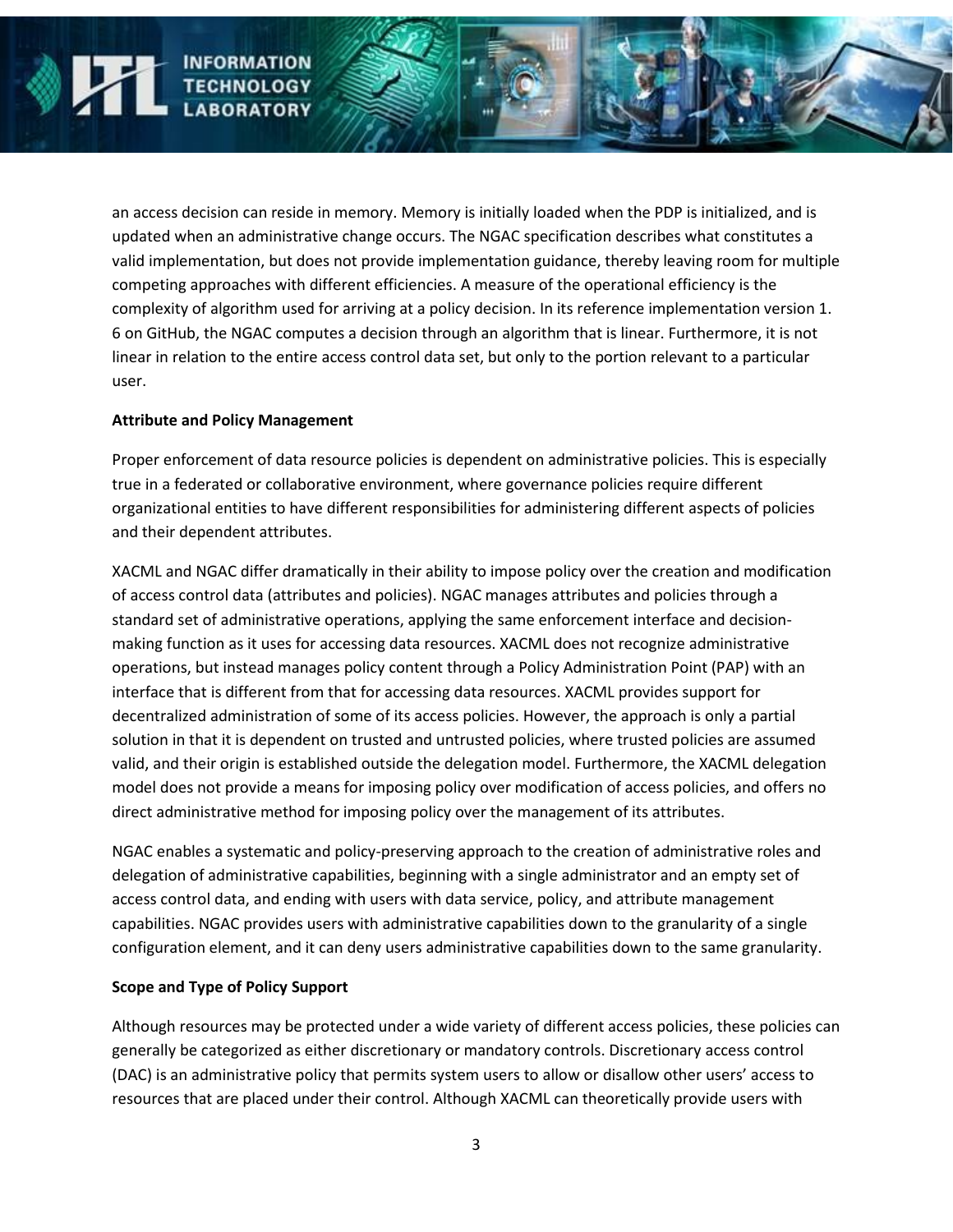**INFORMATION** TECHNOLOGY

an access decision can reside in memory. Memory is initially loaded when the PDP is initialized, and is updated when an administrative change occurs. The NGAC specification describes what constitutes a valid implementation, but does not provide implementation guidance, thereby leaving room for multiple competing approaches with different efficiencies. A measure of the operational efficiency is the complexity of algorithm used for arriving at a policy decision. In its reference implementation version 1. 6 on GitHub, the NGAC computes a decision through an algorithm that is linear. Furthermore, it is not linear in relation to the entire access control data set, but only to the portion relevant to a particular user.

### **Attribute and Policy Management**

Proper enforcement of data resource policies is dependent on administrative policies. This is especially true in a federated or collaborative environment, where governance policies require different organizational entities to have different responsibilities for administering different aspects of policies and their dependent attributes.

XACML and NGAC differ dramatically in their ability to impose policy over the creation and modification of access control data (attributes and policies). NGAC manages attributes and policies through a standard set of administrative operations, applying the same enforcement interface and decisionmaking function as it uses for accessing data resources. XACML does not recognize administrative operations, but instead manages policy content through a Policy Administration Point (PAP) with an interface that is different from that for accessing data resources. XACML provides support for decentralized administration of some of its access policies. However, the approach is only a partial solution in that it is dependent on trusted and untrusted policies, where trusted policies are assumed valid, and their origin is established outside the delegation model. Furthermore, the XACML delegation model does not provide a means for imposing policy over modification of access policies, and offers no direct administrative method for imposing policy over the management of its attributes.

NGAC enables a systematic and policy-preserving approach to the creation of administrative roles and delegation of administrative capabilities, beginning with a single administrator and an empty set of access control data, and ending with users with data service, policy, and attribute management capabilities. NGAC provides users with administrative capabilities down to the granularity of a single configuration element, and it can deny users administrative capabilities down to the same granularity.

### **Scope and Type of Policy Support**

Although resources may be protected under a wide variety of different access policies, these policies can generally be categorized as either discretionary or mandatory controls. Discretionary access control (DAC) is an administrative policy that permits system users to allow or disallow other users' access to resources that are placed under their control. Although XACML can theoretically provide users with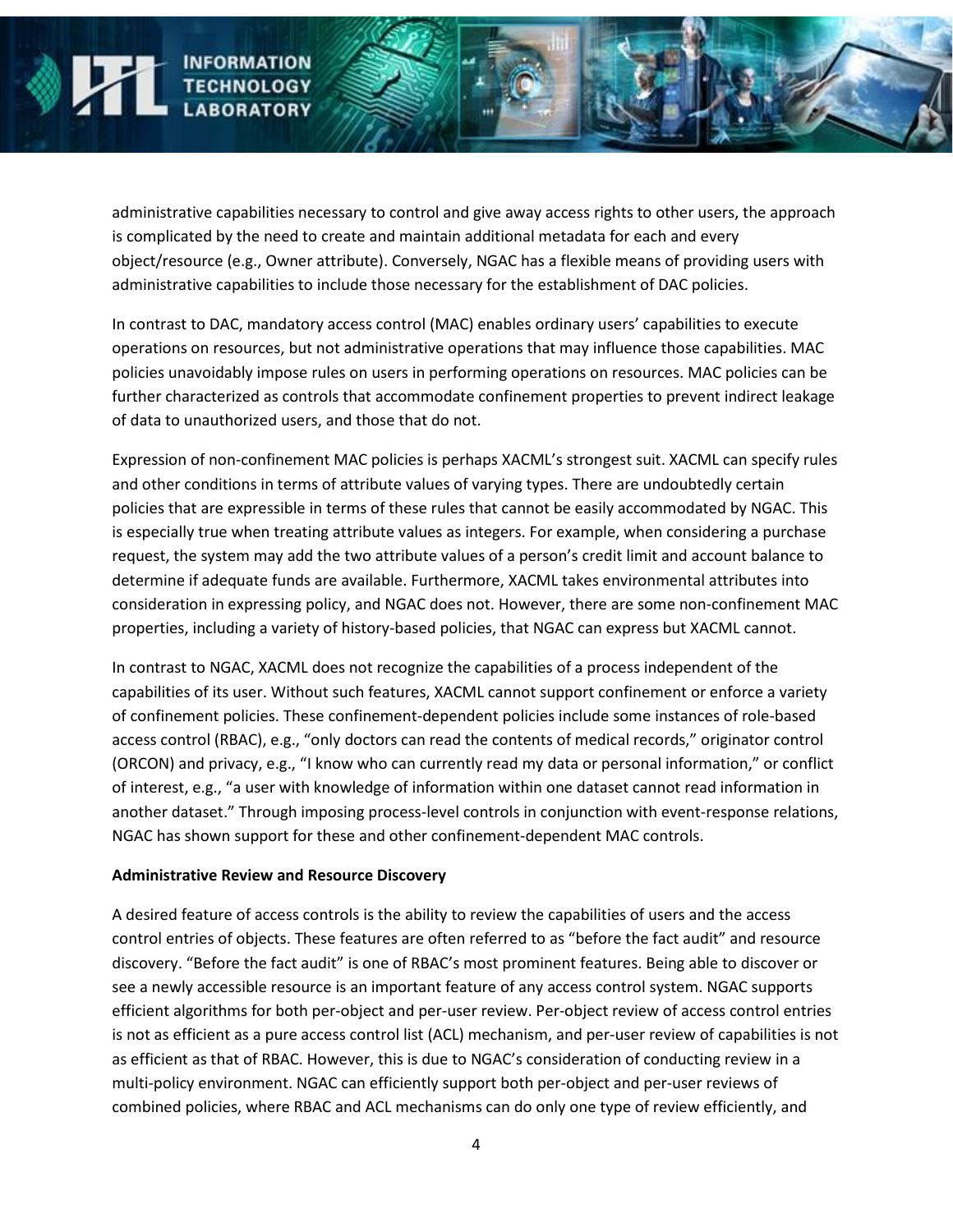

administrative capabilities necessary to control and give away access rights to other users, the approach is complicated by the need to create and maintain additional metadata for each and every object/resource (e.g., Owner attribute). Conversely, NGAC has a flexible means of providing users with administrative capabilities to include those necessary for the establishment of DAC policies.

In contrast to DAC, mandatory access control (MAC) enables ordinary users' capabilities to execute operations on resources, but not administrative operations that may influence those capabilities. MAC policies unavoidably impose rules on users in performing operations on resources. MAC policies can be further characterized as controls that accommodate confinement properties to prevent indirect leakage of data to unauthorized users, and those that do not.

Expression of non-confinement MAC policies is perhaps XACML's strongest suit. XACML can specify rules and other conditions in terms of attribute values of varying types. There are undoubtedly certain policies that are expressible in terms of these rules that cannot be easily accommodated by NGAC. This is especially true when treating attribute values as integers. For example, when considering a purchase request, the system may add the two attribute values of a person's credit limit and account balance to determine if adequate funds are available. Furthermore, XACML takes environmental attributes into consideration in expressing policy, and NGAC does not. However, there are some non-confinement MAC properties, including a variety of history-based policies, that NGAC can express but XACML cannot.

In contrast to NGAC, XACML does not recognize the capabilities of a process independent of the capabilities of its user. Without such features, XACML cannot support confinement or enforce a variety of confinement policies. These confinement-dependent policies include some instances of role-based access control (RBAC), e.g., "only doctors can read the contents of medical records," originator control (ORCON) and privacy, e.g., "I know who can currently read my data or personal information," or conflict of interest, e.g., "a user with knowledge of information within one dataset cannot read information in another dataset." Through imposing process-level controls in conjunction with event-response relations, NGAC has shown support for these and other confinement-dependent MAC controls.

### **Administrative Review and Resource Discovery**

A desired feature of access controls is the ability to review the capabilities of users and the access control entries of objects. These features are often referred to as "before the fact audit" and resource discovery. "Before the fact audit" is one of RBAC's most prominent features. Being able to discover or see a newly accessible resource is an important feature of any access control system. NGAC supports efficient algorithms for both per-object and per-user review. Per-object review of access control entries is not as efficient as a pure access control list (ACL) mechanism, and per-user review of capabilities is not as efficient as that of RBAC. However, this is due to NGAC's consideration of conducting review in a multi-policy environment. NGAC can efficiently support both per-object and per-user reviews of combined policies, where RBAC and ACL mechanisms can do only one type of review efficiently, and